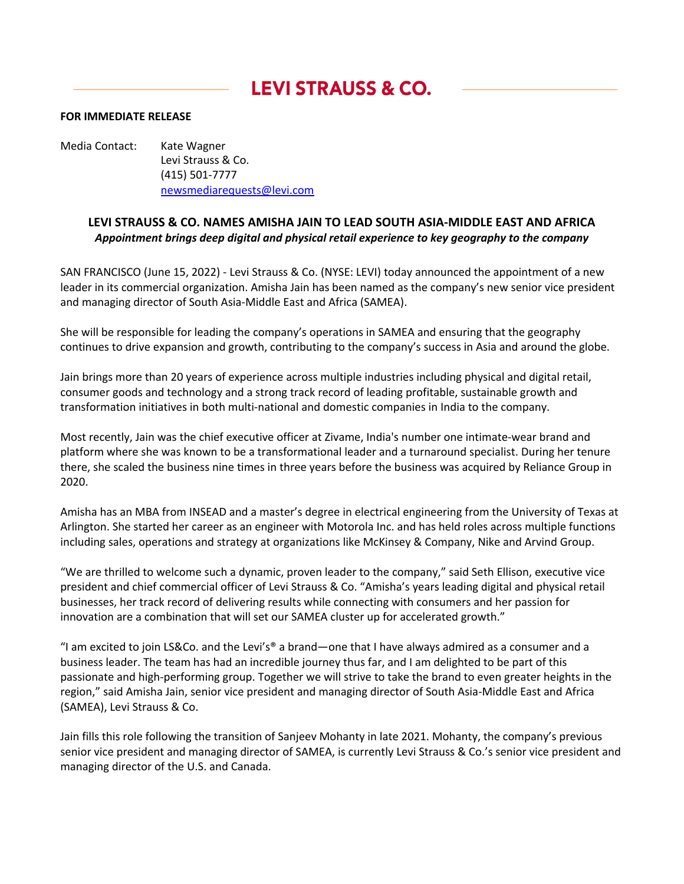## **LEVI STRAUSS & CO.**

## **FOR IMMEDIATE RELEASE**

Media Contact: Kate Wagner Levi Strauss & Co. (415) 501-7777 newsmediarequests@levi.com

## **LEVI STRAUSS & CO. NAMES AMISHA JAIN TO LEAD SOUTH ASIA-MIDDLE EAST AND AFRICA** *Appointment brings deep digital and physical retail experience to key geography to the company*

SAN FRANCISCO (June 15, 2022) - Levi Strauss & Co. (NYSE: LEVI) today announced the appointment of a new leader in its commercial organization. Amisha Jain has been named as the company's new senior vice president and managing director of South Asia-Middle East and Africa (SAMEA).

She will be responsible for leading the company's operations in SAMEA and ensuring that the geography continues to drive expansion and growth, contributing to the company's success in Asia and around the globe.

Jain brings more than 20 years of experience across multiple industries including physical and digital retail, consumer goods and technology and a strong track record of leading profitable, sustainable growth and transformation initiatives in both multi-national and domestic companies in India to the company.

Most recently, Jain was the chief executive officer at Zivame, India's number one intimate-wear brand and platform where she was known to be a transformational leader and a turnaround specialist. During her tenure there, she scaled the business nine times in three years before the business was acquired by Reliance Group in 2020.

Amisha has an MBA from INSEAD and a master's degree in electrical engineering from the University of Texas at Arlington. She started her career as an engineer with Motorola Inc. and has held roles across multiple functions including sales, operations and strategy at organizations like McKinsey & Company, Nike and Arvind Group.

"We are thrilled to welcome such a dynamic, proven leader to the company," said Seth Ellison, executive vice president and chief commercial officer of Levi Strauss & Co. "Amisha's years leading digital and physical retail businesses, her track record of delivering results while connecting with consumers and her passion for innovation are a combination that will set our SAMEA cluster up for accelerated growth."

"I am excited to join LS&Co. and the Levi's® a brand—one that I have always admired as a consumer and a business leader. The team has had an incredible journey thus far, and I am delighted to be part of this passionate and high-performing group. Together we will strive to take the brand to even greater heights in the region," said Amisha Jain, senior vice president and managing director of South Asia-Middle East and Africa (SAMEA), Levi Strauss & Co.

Jain fills this role following the transition of Sanjeev Mohanty in late 2021. Mohanty, the company's previous senior vice president and managing director of SAMEA, is currently Levi Strauss & Co.'s senior vice president and managing director of the U.S. and Canada.